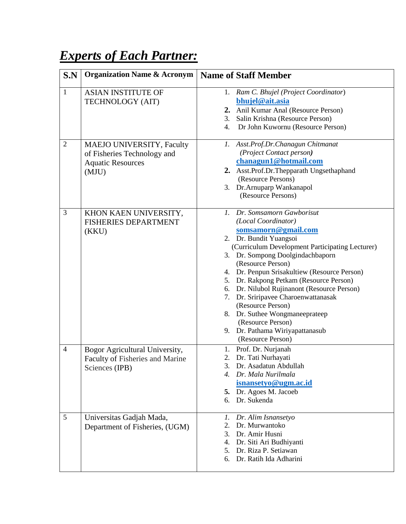## *Experts of Each Partner:*

| S.N            | <b>Organization Name &amp; Acronym</b>                                                               | <b>Name of Staff Member</b>                                                                                                                                                                                                                                                                                                                                                                                                                                                                                                          |
|----------------|------------------------------------------------------------------------------------------------------|--------------------------------------------------------------------------------------------------------------------------------------------------------------------------------------------------------------------------------------------------------------------------------------------------------------------------------------------------------------------------------------------------------------------------------------------------------------------------------------------------------------------------------------|
| $\mathbf{1}$   | <b>ASIAN INSTITUTE OF</b><br>TECHNOLOGY (AIT)                                                        | 1. Ram C. Bhujel (Project Coordinator)<br>bhujel@ait.asia<br>2. Anil Kumar Anal (Resource Person)<br>3.<br>Salin Krishna (Resource Person)<br>Dr John Kuwornu (Resource Person)<br>4.                                                                                                                                                                                                                                                                                                                                                |
| $\overline{2}$ | <b>MAEJO UNIVERSITY, Faculty</b><br>of Fisheries Technology and<br><b>Aquatic Resources</b><br>(MJU) | 1. Asst.Prof.Dr.Chanagun Chitmanat<br>(Project Contact person)<br>chanagun1@hotmail.com<br>2. Asst.Prof.Dr.Thepparath Ungsethaphand<br>(Resource Persons)<br>3. Dr. Arnuparp Wankanapol<br>(Resource Persons)                                                                                                                                                                                                                                                                                                                        |
| 3              | KHON KAEN UNIVERSITY,<br><b>FISHERIES DEPARTMENT</b><br>(KKU)                                        | 1. Dr. Somsamorn Gawborisut<br>(Local Coordinator)<br>somsamorn@gmail.com<br>2. Dr. Bundit Yuangsoi<br>(Curriculum Development Participating Lecturer)<br>3. Dr. Sompong Doolgindachbaporn<br>(Resource Person)<br>4. Dr. Penpun Srisakultiew (Resource Person)<br>5. Dr. Rakpong Petkam (Resource Person)<br>6. Dr. Nilubol Rujinanont (Resource Person)<br>7. Dr. Sriripavee Charoenwattanasak<br>(Resource Person)<br>8. Dr. Suthee Wongmaneeprateep<br>(Resource Person)<br>9. Dr. Pathama Wiriyapattanasub<br>(Resource Person) |
| 4              | Bogor Agricultural University,<br>Faculty of Fisheries and Marine<br>Sciences (IPB)                  | 1. Prof. Dr. Nurjanah<br>2. Dr. Tati Nurhayati<br>3. Dr. Asadatun Abdullah<br>Dr. Mala Nurilmala<br>4.<br>isnansetyo@ugm.ac.id<br>5. Dr. Agoes M. Jacoeb<br>6. Dr. Sukenda                                                                                                                                                                                                                                                                                                                                                           |
| 5              | Universitas Gadjah Mada,<br>Department of Fisheries, (UGM)                                           | 1. Dr. Alim Isnansetyo<br>Dr. Murwantoko<br>2.<br>Dr. Amir Husni<br>$3_{-}$<br>Dr. Siti Ari Budhiyanti<br>4.<br>Dr. Riza P. Setiawan<br>5.<br>6. Dr. Ratih Ida Adharini                                                                                                                                                                                                                                                                                                                                                              |